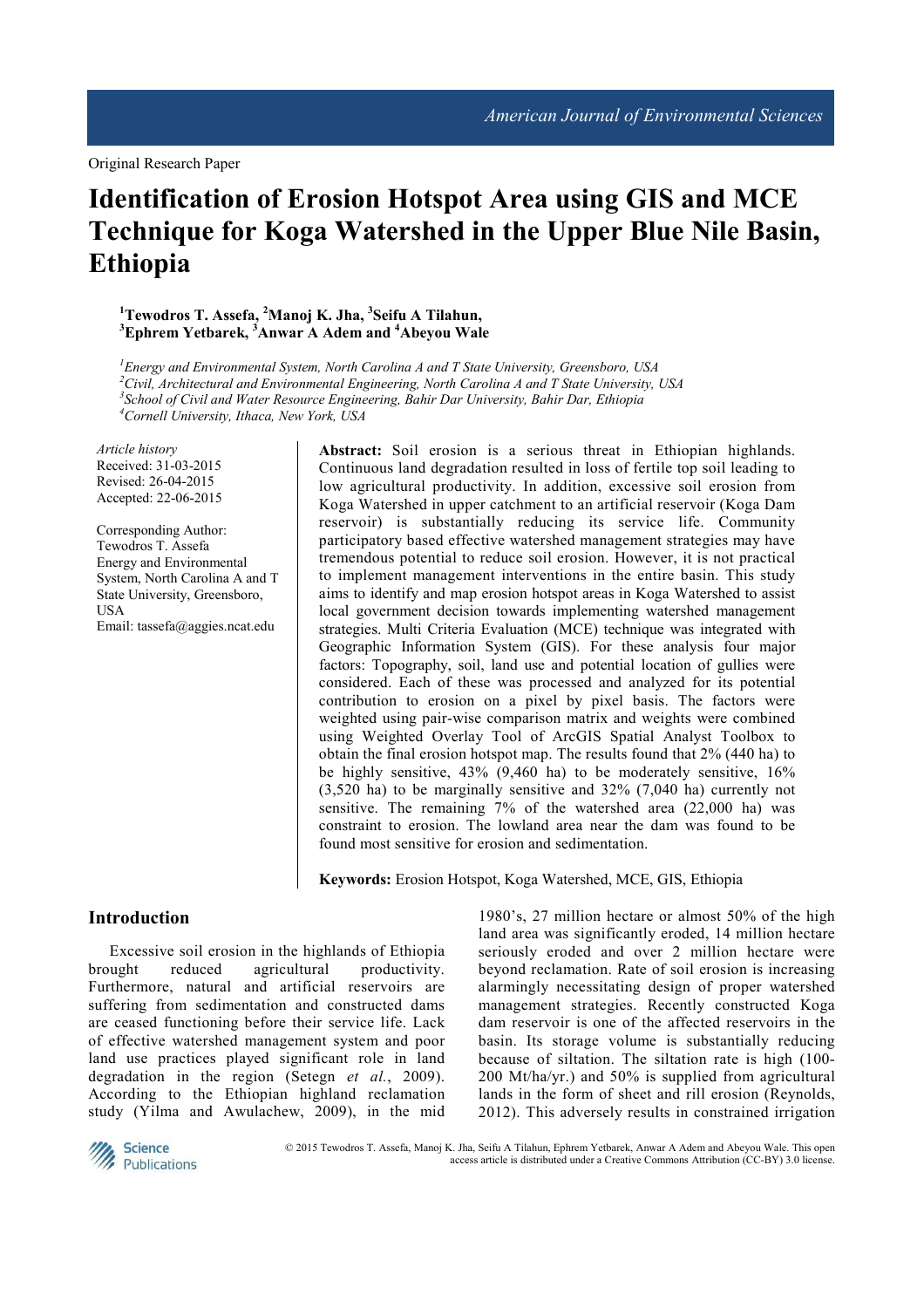Original Research Paper

# **Identification of Erosion Hotspot Area using GIS and MCE Technique for Koga Watershed in the Upper Blue Nile Basin, Ethiopia**

**<sup>1</sup>Tewodros T. Assefa, <sup>2</sup>Manoj K. Jha, <sup>3</sup> Seifu A Tilahun, <sup>3</sup>Ephrem Yetbarek, <sup>3</sup>Anwar A Adem and <sup>4</sup>Abeyou Wale** 

*Energy and Environmental System, North Carolina A and T State University, Greensboro, USA Civil, Architectural and Environmental Engineering, North Carolina A and T State University, USA School of Civil and Water Resource Engineering, Bahir Dar University, Bahir Dar, Ethiopia Cornell University, Ithaca, New York, USA*

*Article history*  Received: 31-03-2015 Revised: 26-04-2015 Accepted: 22-06-2015

Corresponding Author: Tewodros T. Assefa Energy and Environmental System, North Carolina A and T State University, Greensboro, **USA** Email: tassefa@aggies.ncat.edu

**Abstract:** Soil erosion is a serious threat in Ethiopian highlands. Continuous land degradation resulted in loss of fertile top soil leading to low agricultural productivity. In addition, excessive soil erosion from Koga Watershed in upper catchment to an artificial reservoir (Koga Dam reservoir) is substantially reducing its service life. Community participatory based effective watershed management strategies may have tremendous potential to reduce soil erosion. However, it is not practical to implement management interventions in the entire basin. This study aims to identify and map erosion hotspot areas in Koga Watershed to assist local government decision towards implementing watershed management strategies. Multi Criteria Evaluation (MCE) technique was integrated with Geographic Information System (GIS). For these analysis four major factors: Topography, soil, land use and potential location of gullies were considered. Each of these was processed and analyzed for its potential contribution to erosion on a pixel by pixel basis. The factors were weighted using pair-wise comparison matrix and weights were combined using Weighted Overlay Tool of ArcGIS Spatial Analyst Toolbox to obtain the final erosion hotspot map. The results found that 2% (440 ha) to be highly sensitive, 43% (9,460 ha) to be moderately sensitive, 16% (3,520 ha) to be marginally sensitive and 32% (7,040 ha) currently not sensitive. The remaining 7% of the watershed area (22,000 ha) was constraint to erosion. The lowland area near the dam was found to be found most sensitive for erosion and sedimentation.

**Keywords:** Erosion Hotspot, Koga Watershed, MCE, GIS, Ethiopia

# **Introduction**

Excessive soil erosion in the highlands of Ethiopia brought reduced agricultural productivity. Furthermore, natural and artificial reservoirs are suffering from sedimentation and constructed dams are ceased functioning before their service life. Lack of effective watershed management system and poor land use practices played significant role in land degradation in the region (Setegn *et al.*, 2009). According to the Ethiopian highland reclamation study (Yilma and Awulachew, 2009), in the mid

1980's, 27 million hectare or almost 50% of the high land area was significantly eroded, 14 million hectare seriously eroded and over 2 million hectare were beyond reclamation. Rate of soil erosion is increasing alarmingly necessitating design of proper watershed management strategies. Recently constructed Koga dam reservoir is one of the affected reservoirs in the basin. Its storage volume is substantially reducing because of siltation. The siltation rate is high (100- 200 Mt/ha/yr.) and 50% is supplied from agricultural lands in the form of sheet and rill erosion (Reynolds, 2012). This adversely results in constrained irrigation



© 2015 Tewodros T. Assefa, Manoj K. Jha, Seifu A Tilahun, Ephrem Yetbarek, Anwar A Adem and Abeyou Wale. This open access article is distributed under a Creative Commons Attribution (CC-BY) 3.0 license.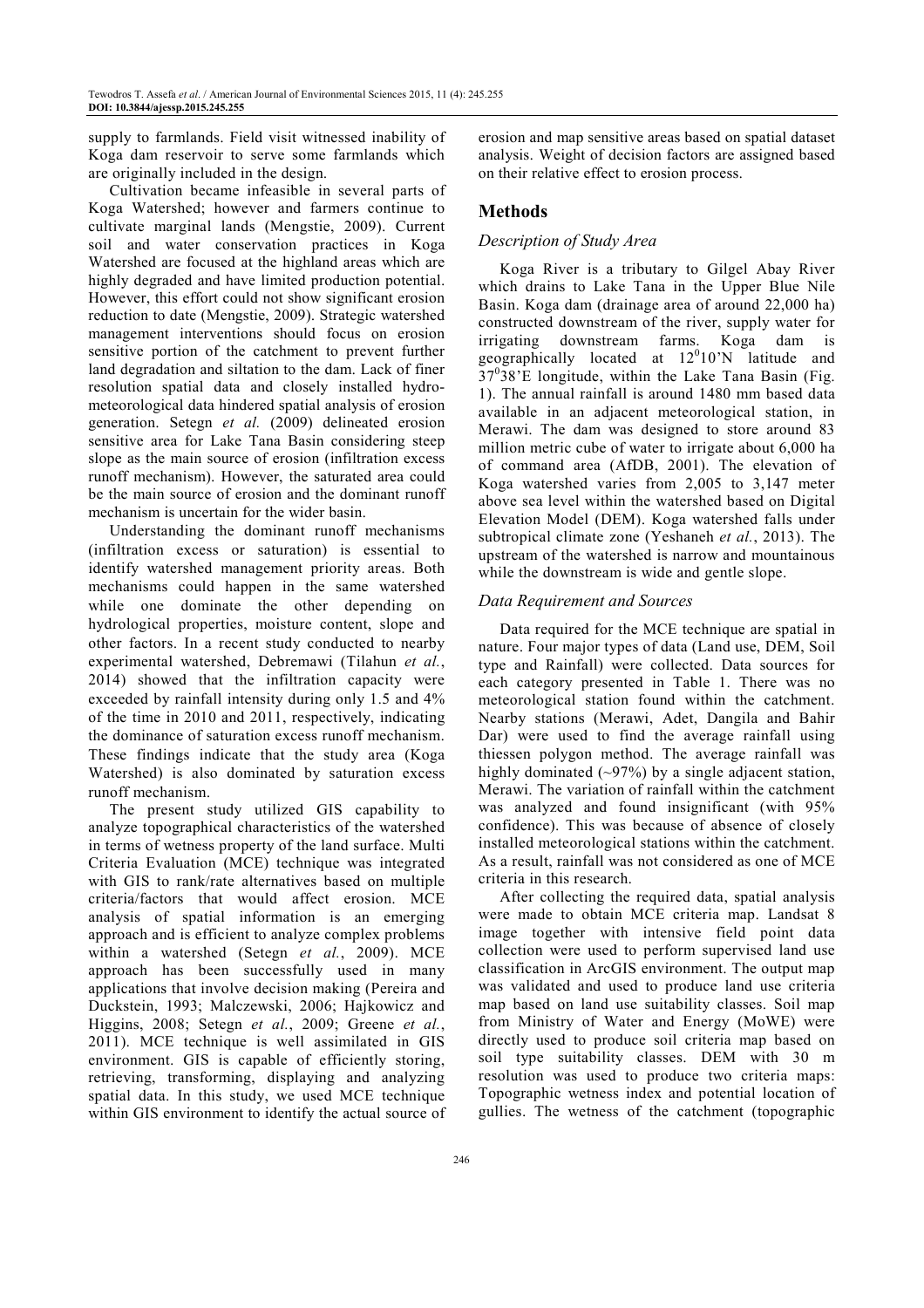supply to farmlands. Field visit witnessed inability of Koga dam reservoir to serve some farmlands which are originally included in the design.

Cultivation became infeasible in several parts of Koga Watershed; however and farmers continue to cultivate marginal lands (Mengstie, 2009). Current soil and water conservation practices in Koga Watershed are focused at the highland areas which are highly degraded and have limited production potential. However, this effort could not show significant erosion reduction to date (Mengstie, 2009). Strategic watershed management interventions should focus on erosion sensitive portion of the catchment to prevent further land degradation and siltation to the dam. Lack of finer resolution spatial data and closely installed hydrometeorological data hindered spatial analysis of erosion generation. Setegn *et al.* (2009) delineated erosion sensitive area for Lake Tana Basin considering steep slope as the main source of erosion (infiltration excess runoff mechanism). However, the saturated area could be the main source of erosion and the dominant runoff mechanism is uncertain for the wider basin.

Understanding the dominant runoff mechanisms (infiltration excess or saturation) is essential to identify watershed management priority areas. Both mechanisms could happen in the same watershed while one dominate the other depending on hydrological properties, moisture content, slope and other factors. In a recent study conducted to nearby experimental watershed, Debremawi (Tilahun *et al.*, 2014) showed that the infiltration capacity were exceeded by rainfall intensity during only 1.5 and 4% of the time in 2010 and 2011, respectively, indicating the dominance of saturation excess runoff mechanism. These findings indicate that the study area (Koga Watershed) is also dominated by saturation excess runoff mechanism.

The present study utilized GIS capability to analyze topographical characteristics of the watershed in terms of wetness property of the land surface. Multi Criteria Evaluation (MCE) technique was integrated with GIS to rank/rate alternatives based on multiple criteria/factors that would affect erosion. MCE analysis of spatial information is an emerging approach and is efficient to analyze complex problems within a watershed (Setegn *et al.*, 2009). MCE approach has been successfully used in many applications that involve decision making (Pereira and Duckstein, 1993; Malczewski, 2006; Hajkowicz and Higgins, 2008; Setegn *et al.*, 2009; Greene *et al.*, 2011). MCE technique is well assimilated in GIS environment. GIS is capable of efficiently storing, retrieving, transforming, displaying and analyzing spatial data. In this study, we used MCE technique within GIS environment to identify the actual source of erosion and map sensitive areas based on spatial dataset analysis. Weight of decision factors are assigned based on their relative effect to erosion process.

# **Methods**

# *Description of Study Area*

Koga River is a tributary to Gilgel Abay River which drains to Lake Tana in the Upper Blue Nile Basin. Koga dam (drainage area of around 22,000 ha) constructed downstream of the river, supply water for irrigating downstream farms. Koga dam is geographically located at  $12^010'$ N latitude and  $37^038$ 'E longitude, within the Lake Tana Basin (Fig. 1). The annual rainfall is around 1480 mm based data available in an adjacent meteorological station, in Merawi. The dam was designed to store around 83 million metric cube of water to irrigate about 6,000 ha of command area (AfDB, 2001). The elevation of Koga watershed varies from 2,005 to 3,147 meter above sea level within the watershed based on Digital Elevation Model (DEM). Koga watershed falls under subtropical climate zone (Yeshaneh *et al.*, 2013). The upstream of the watershed is narrow and mountainous while the downstream is wide and gentle slope.

# *Data Requirement and Sources*

Data required for the MCE technique are spatial in nature. Four major types of data (Land use, DEM, Soil type and Rainfall) were collected. Data sources for each category presented in Table 1. There was no meteorological station found within the catchment. Nearby stations (Merawi, Adet, Dangila and Bahir Dar) were used to find the average rainfall using thiessen polygon method. The average rainfall was highly dominated  $(-97%)$  by a single adjacent station, Merawi. The variation of rainfall within the catchment was analyzed and found insignificant (with 95% confidence). This was because of absence of closely installed meteorological stations within the catchment. As a result, rainfall was not considered as one of MCE criteria in this research.

After collecting the required data, spatial analysis were made to obtain MCE criteria map. Landsat 8 image together with intensive field point data collection were used to perform supervised land use classification in ArcGIS environment. The output map was validated and used to produce land use criteria map based on land use suitability classes. Soil map from Ministry of Water and Energy (MoWE) were directly used to produce soil criteria map based on soil type suitability classes. DEM with 30 m resolution was used to produce two criteria maps: Topographic wetness index and potential location of gullies. The wetness of the catchment (topographic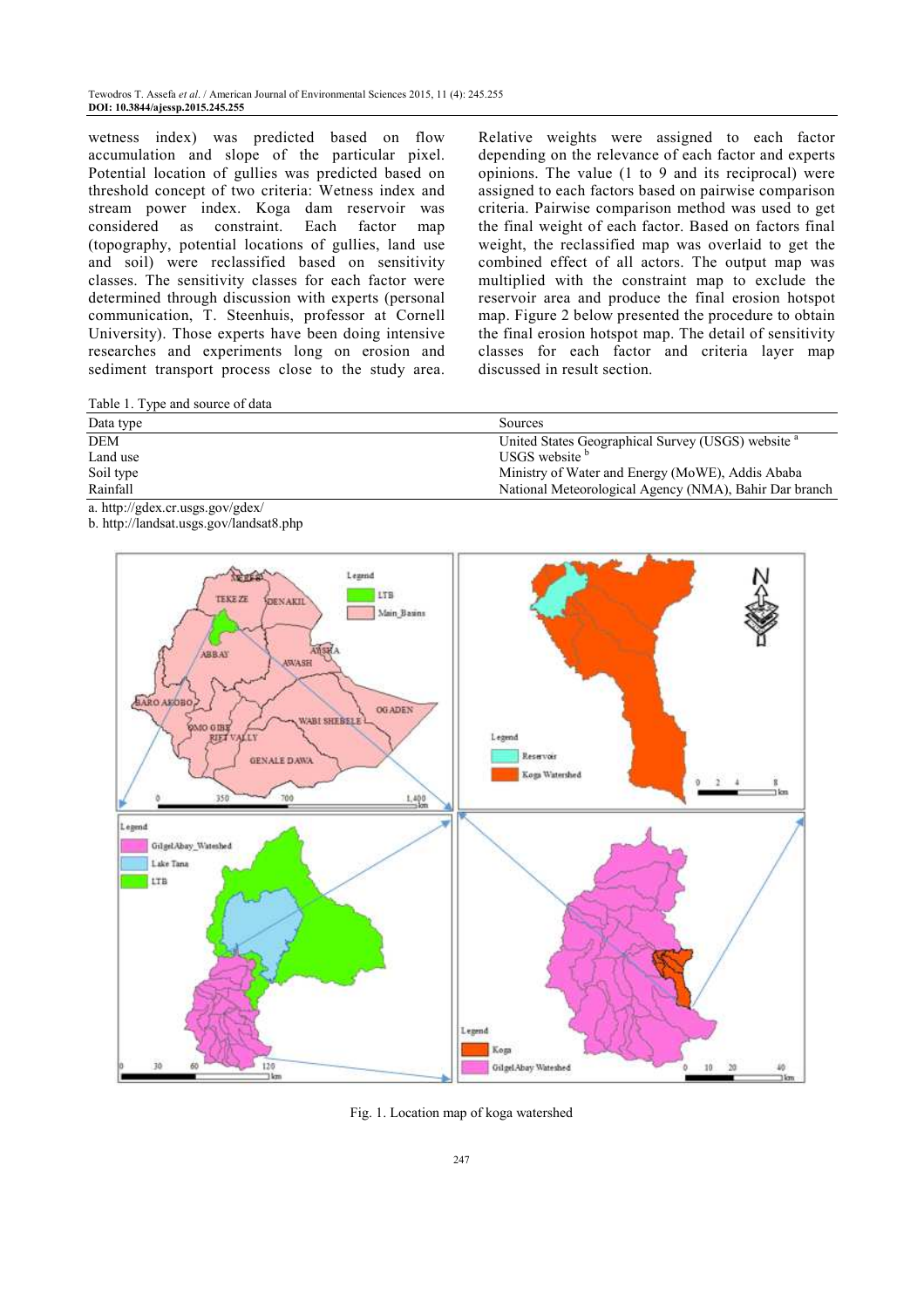wetness index) was predicted based on flow accumulation and slope of the particular pixel. Potential location of gullies was predicted based on threshold concept of two criteria: Wetness index and stream power index. Koga dam reservoir was considered as constraint. Each factor map (topography, potential locations of gullies, land use and soil) were reclassified based on sensitivity classes. The sensitivity classes for each factor were determined through discussion with experts (personal communication, T. Steenhuis, professor at Cornell University). Those experts have been doing intensive researches and experiments long on erosion and sediment transport process close to the study area.

Table 1. Type and source of data

Relative weights were assigned to each factor depending on the relevance of each factor and experts opinions. The value (1 to 9 and its reciprocal) were assigned to each factors based on pairwise comparison criteria. Pairwise comparison method was used to get the final weight of each factor. Based on factors final weight, the reclassified map was overlaid to get the combined effect of all actors. The output map was multiplied with the constraint map to exclude the reservoir area and produce the final erosion hotspot map. Figure 2 below presented the procedure to obtain the final erosion hotspot map. The detail of sensitivity classes for each factor and criteria layer map discussed in result section.

| Data type                       | Sources                                                       |
|---------------------------------|---------------------------------------------------------------|
| <b>DEM</b>                      | United States Geographical Survey (USGS) website <sup>a</sup> |
| Land use                        | USGS website <sup>b</sup>                                     |
| Soil type                       | Ministry of Water and Energy (MoWE), Addis Ababa              |
| Rainfall                        | National Meteorological Agency (NMA), Bahir Dar branch        |
| o bttp://odor.cr.usos.com/odor/ |                                                               |

a. http://gdex.cr.usgs.gov/gdex/

b. http://landsat.usgs.gov/landsat8.php



Fig. 1. Location map of koga watershed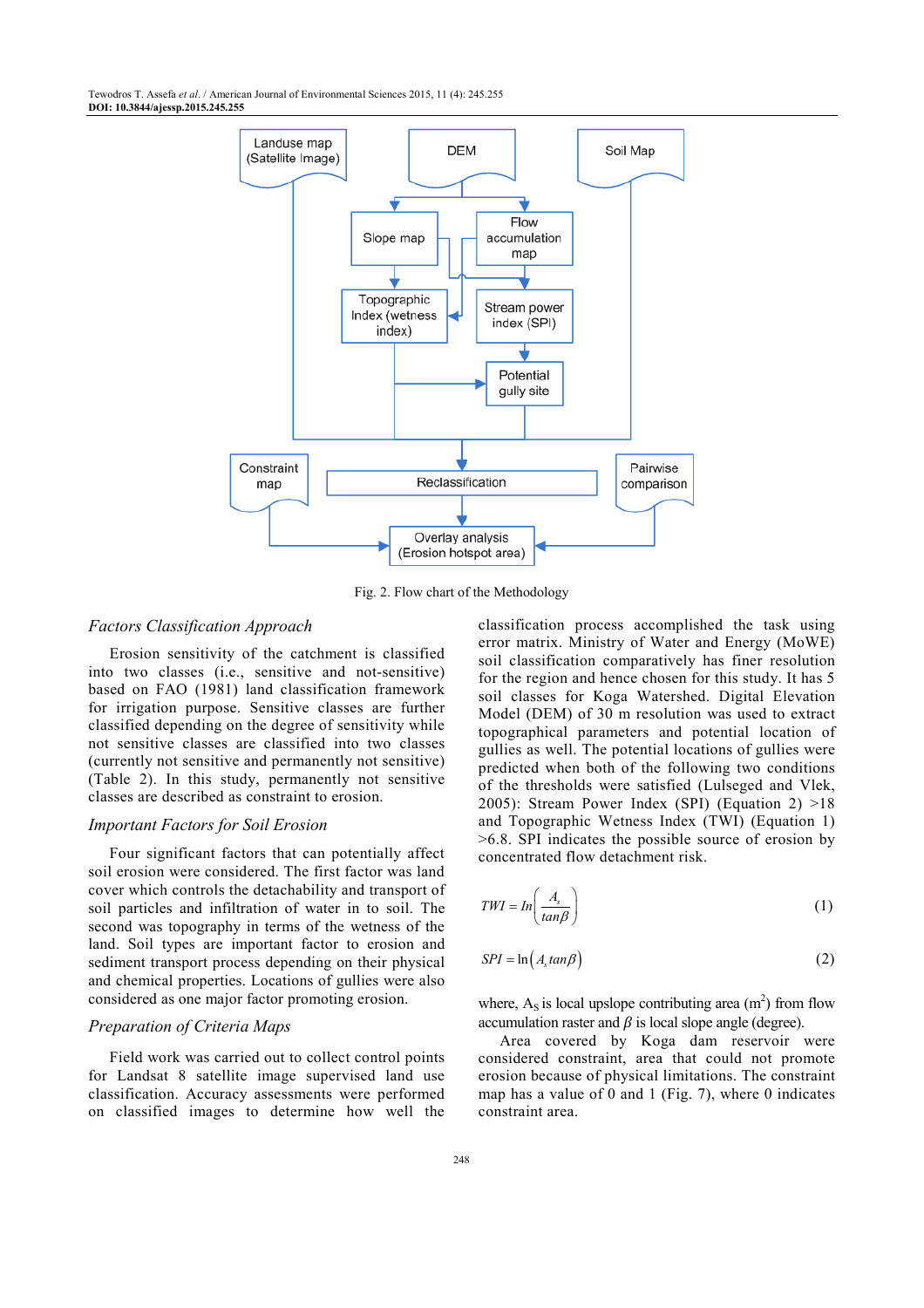Tewodros T. Assefa *et al*. / American Journal of Environmental Sciences 2015, 11 (4): 245.255 **DOI: 10.3844/ajessp.2015.245.255**



Fig. 2. Flow chart of the Methodology

#### *Factors Classification Approach*

Erosion sensitivity of the catchment is classified into two classes (i.e., sensitive and not-sensitive) based on FAO (1981) land classification framework for irrigation purpose. Sensitive classes are further classified depending on the degree of sensitivity while not sensitive classes are classified into two classes (currently not sensitive and permanently not sensitive) (Table 2). In this study, permanently not sensitive classes are described as constraint to erosion.

## *Important Factors for Soil Erosion*

Four significant factors that can potentially affect soil erosion were considered. The first factor was land cover which controls the detachability and transport of soil particles and infiltration of water in to soil. The second was topography in terms of the wetness of the land. Soil types are important factor to erosion and sediment transport process depending on their physical and chemical properties. Locations of gullies were also considered as one major factor promoting erosion.

# *Preparation of Criteria Maps*

Field work was carried out to collect control points for Landsat 8 satellite image supervised land use classification. Accuracy assessments were performed on classified images to determine how well the classification process accomplished the task using error matrix. Ministry of Water and Energy (MoWE) soil classification comparatively has finer resolution for the region and hence chosen for this study. It has 5 soil classes for Koga Watershed. Digital Elevation Model (DEM) of 30 m resolution was used to extract topographical parameters and potential location of gullies as well. The potential locations of gullies were predicted when both of the following two conditions of the thresholds were satisfied (Lulseged and Vlek, 2005): Stream Power Index (SPI) (Equation 2) >18 and Topographic Wetness Index (TWI) (Equation 1) >6.8. SPI indicates the possible source of erosion by concentrated flow detachment risk.

$$
TWI = In\left(\frac{A_s}{\tan\beta}\right) \tag{1}
$$

$$
SPI = \ln(A_s \tan \beta) \tag{2}
$$

where,  $A_S$  is local upslope contributing area  $(m^2)$  from flow accumulation raster and  $\beta$  is local slope angle (degree).

Area covered by Koga dam reservoir were considered constraint, area that could not promote erosion because of physical limitations. The constraint map has a value of 0 and 1 (Fig. 7), where 0 indicates constraint area.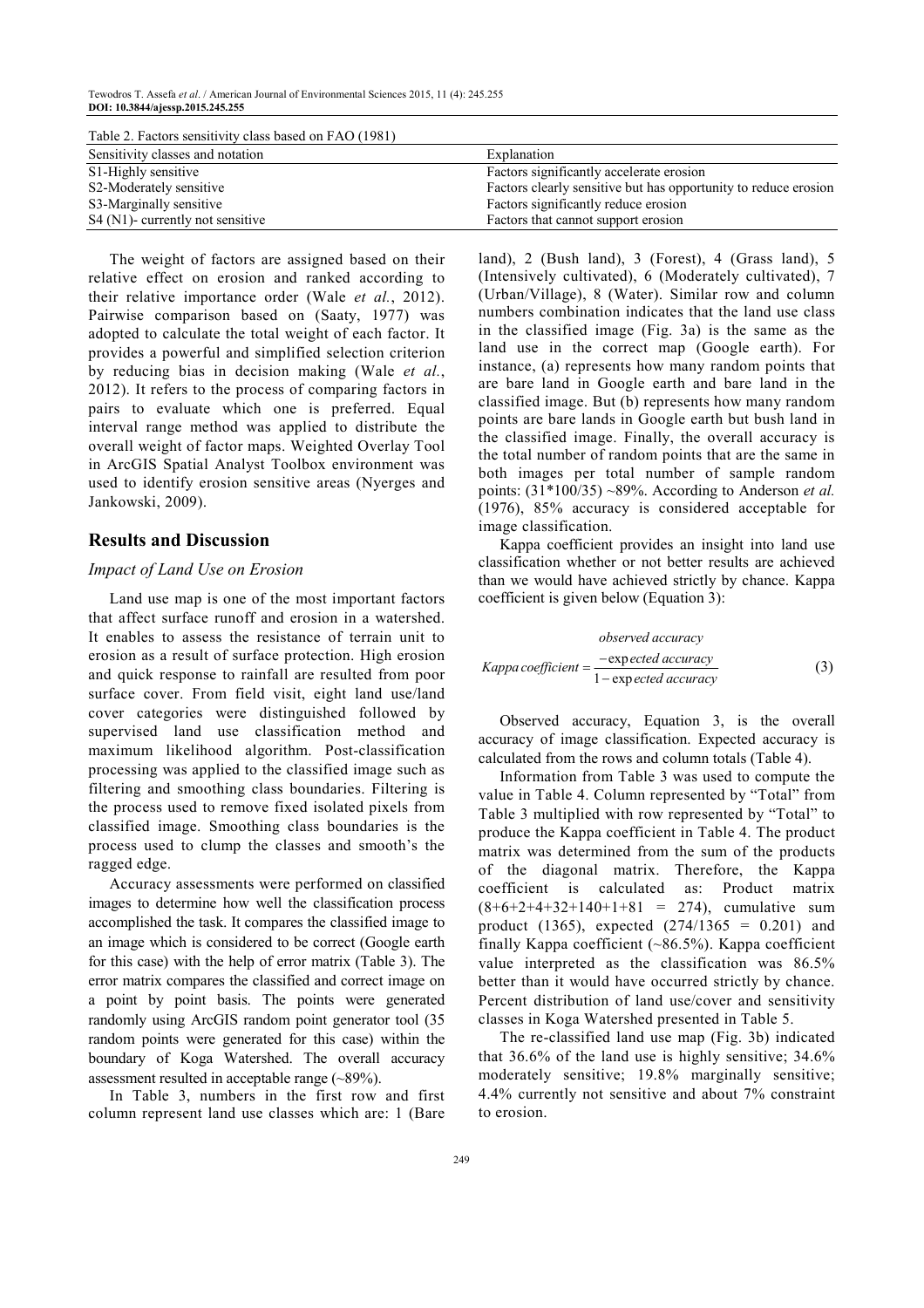Tewodros T. Assefa *et al*. / American Journal of Environmental Sciences 2015, 11 (4): 245.255 **DOI: 10.3844/ajessp.2015.245.255**

| Table 2. Factors sensitivity class based on FAO (1981) |                                                                 |
|--------------------------------------------------------|-----------------------------------------------------------------|
| Sensitivity classes and notation                       | Explanation                                                     |
| S1-Highly sensitive                                    | Factors significantly accelerate erosion                        |
| S2-Moderately sensitive                                | Factors clearly sensitive but has opportunity to reduce erosion |
| S3-Marginally sensitive                                | Factors significantly reduce erosion                            |
| S4 (N1)- currently not sensitive                       | Factors that cannot support erosion                             |

The weight of factors are assigned based on their relative effect on erosion and ranked according to their relative importance order (Wale *et al.*, 2012). Pairwise comparison based on (Saaty, 1977) was adopted to calculate the total weight of each factor. It provides a powerful and simplified selection criterion by reducing bias in decision making (Wale *et al.*, 2012). It refers to the process of comparing factors in pairs to evaluate which one is preferred. Equal interval range method was applied to distribute the overall weight of factor maps. Weighted Overlay Tool in ArcGIS Spatial Analyst Toolbox environment was used to identify erosion sensitive areas (Nyerges and Jankowski, 2009).

### **Results and Discussion**

#### *Impact of Land Use on Erosion*

Land use map is one of the most important factors that affect surface runoff and erosion in a watershed. It enables to assess the resistance of terrain unit to erosion as a result of surface protection. High erosion and quick response to rainfall are resulted from poor surface cover. From field visit, eight land use/land cover categories were distinguished followed by supervised land use classification method and maximum likelihood algorithm. Post-classification processing was applied to the classified image such as filtering and smoothing class boundaries. Filtering is the process used to remove fixed isolated pixels from classified image. Smoothing class boundaries is the process used to clump the classes and smooth's the ragged edge.

Accuracy assessments were performed on classified images to determine how well the classification process accomplished the task. It compares the classified image to an image which is considered to be correct (Google earth for this case) with the help of error matrix (Table 3). The error matrix compares the classified and correct image on a point by point basis. The points were generated randomly using ArcGIS random point generator tool (35 random points were generated for this case) within the boundary of Koga Watershed. The overall accuracy assessment resulted in acceptable range (~89%).

In Table 3, numbers in the first row and first column represent land use classes which are: 1 (Bare

land), 2 (Bush land), 3 (Forest), 4 (Grass land), 5 (Intensively cultivated), 6 (Moderately cultivated), 7 (Urban/Village), 8 (Water). Similar row and column numbers combination indicates that the land use class in the classified image (Fig. 3a) is the same as the land use in the correct map (Google earth). For instance, (a) represents how many random points that are bare land in Google earth and bare land in the classified image. But (b) represents how many random points are bare lands in Google earth but bush land in the classified image. Finally, the overall accuracy is the total number of random points that are the same in both images per total number of sample random points: (31\*100/35) ~89%. According to Anderson *et al.* (1976), 85% accuracy is considered acceptable for image classification.

Kappa coefficient provides an insight into land use classification whether or not better results are achieved than we would have achieved strictly by chance. Kappa coefficient is given below (Equation 3):

$$
observed accuracy
$$
  
Kappa coefficient = 
$$
\frac{-expected accuracy}{1 - expected accuracy}
$$
 (3)

Observed accuracy, Equation 3, is the overall accuracy of image classification. Expected accuracy is calculated from the rows and column totals (Table 4).

Information from Table 3 was used to compute the value in Table 4. Column represented by "Total" from Table 3 multiplied with row represented by "Total" to produce the Kappa coefficient in Table 4. The product matrix was determined from the sum of the products of the diagonal matrix. Therefore, the Kappa coefficient is calculated as: Product matrix  $(8+6+2+4+32+140+1+81 = 274)$ , cumulative sum product (1365), expected (274/1365 =  $0.201$ ) and finally Kappa coefficient  $(\sim 86.5\%)$ . Kappa coefficient value interpreted as the classification was 86.5% better than it would have occurred strictly by chance. Percent distribution of land use/cover and sensitivity classes in Koga Watershed presented in Table 5.

The re-classified land use map (Fig. 3b) indicated that 36.6% of the land use is highly sensitive; 34.6% moderately sensitive; 19.8% marginally sensitive; 4.4% currently not sensitive and about 7% constraint to erosion.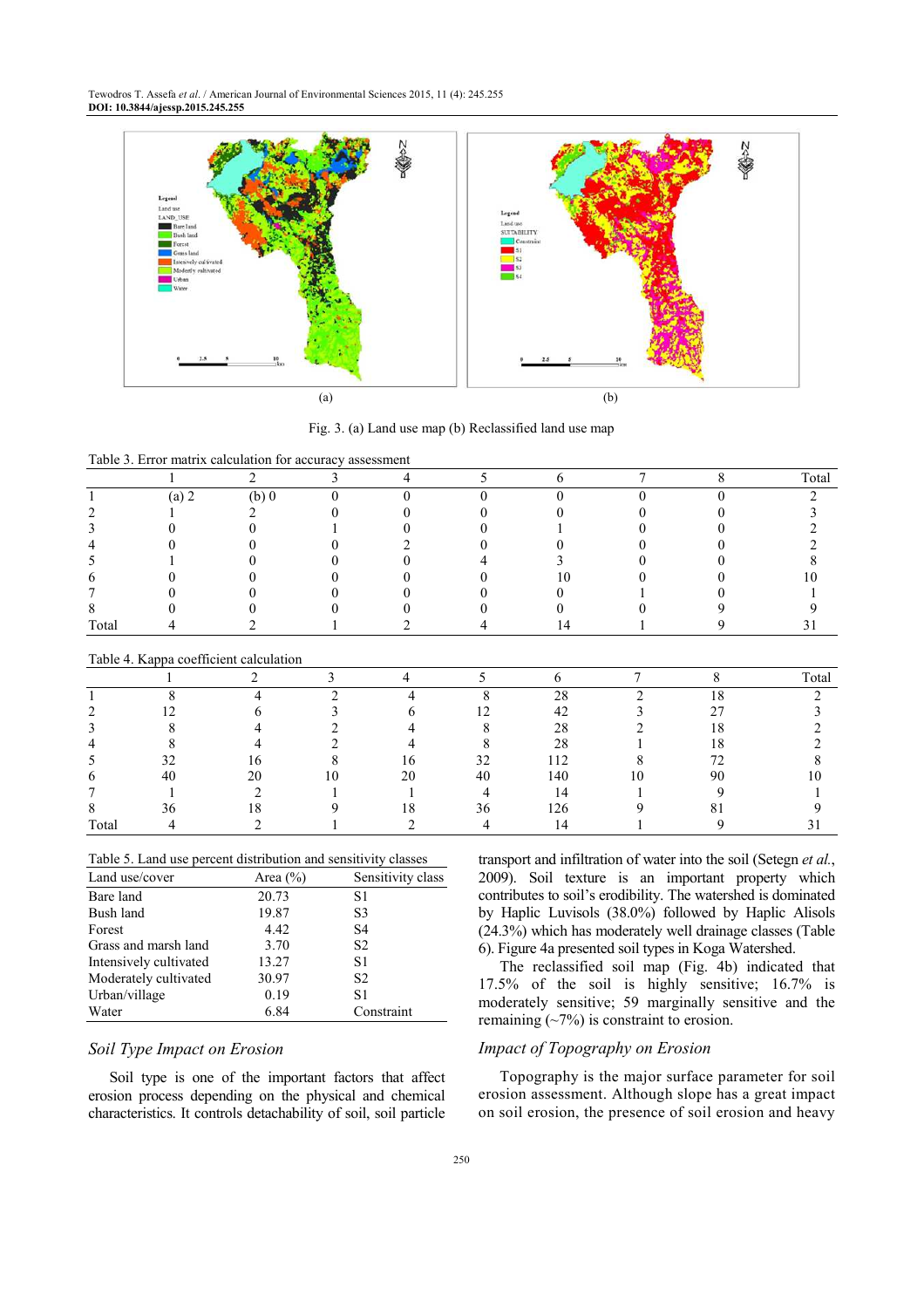Tewodros T. Assefa *et al*. / American Journal of Environmental Sciences 2015, 11 (4): 245.255 **DOI: 10.3844/ajessp.2015.245.255**



Fig. 3. (a) Land use map (b) Reclassified land use map

|  |  | Table 3. Error matrix calculation for accuracy assessment |  |  |
|--|--|-----------------------------------------------------------|--|--|
|--|--|-----------------------------------------------------------|--|--|

|       |                                        | $\overline{2}$ | 3              | 4  | 5        | 6      | 7              | 8  | Total    |
|-------|----------------------------------------|----------------|----------------|----|----------|--------|----------------|----|----------|
|       | $(a)$ 2                                | $(b)$ 0        | $\Omega$       | 0  | $\Omega$ | 0      | $\Omega$       | O  |          |
|       |                                        |                |                |    |          |        |                |    |          |
| 3     |                                        |                |                |    |          |        |                |    |          |
|       |                                        |                |                |    |          |        |                |    |          |
|       |                                        |                |                |    |          |        |                |    |          |
| 6     |                                        |                |                |    |          | 10     |                |    | $\theta$ |
|       |                                        |                |                |    |          |        |                |    |          |
| 8     |                                        |                |                |    |          |        |                |    |          |
| Total | 4                                      |                |                |    | 4        | 14     |                | 9  | 31       |
|       | Table 4. Kappa coefficient calculation | 2              | 3              | 4  | 5        | 6      | $\overline{7}$ | 8  | Total    |
|       | 8                                      | 4              | $\overline{2}$ | 4  | 8        | $28\,$ | $\overline{2}$ | 18 | 2        |
|       | 12                                     | n              |                |    | 12       | 42     | 3              | 27 |          |
| 3     |                                        |                |                |    |          | $28\,$ |                | 18 |          |
|       | x                                      |                |                |    | 8        | 28     |                | 18 |          |
| 5     | 32                                     | 16             |                | 16 | 32       | 112    | х              | 72 |          |
| 6     | 40                                     | 20             | 10             | 20 | 40       | 140    | 10             | 90 | 10       |
|       |                                        | 2              |                |    | 4        | 14     |                |    |          |
| 8     | 36                                     | $18\,$         |                | 18 | 36       | 126    |                | 81 |          |
| Total | 4                                      | 2              |                | 2  | 4        | 14     |                | 9  | 31       |
|       |                                        |                |                |    |          |        |                |    |          |

| Table 5. Land use percent distribution and sensitivity classes |              |                   |  |  |  |  |
|----------------------------------------------------------------|--------------|-------------------|--|--|--|--|
| Land use/cover                                                 | Area $(\% )$ | Sensitivity class |  |  |  |  |
| Bare land                                                      | 20.73        | S1                |  |  |  |  |
| Bush land                                                      | 19.87        | S3                |  |  |  |  |
| Forest                                                         | 4.42         | S4                |  |  |  |  |
| Grass and marsh land                                           | 3.70         | S2                |  |  |  |  |
| Intensively cultivated                                         | 13.27        | S1                |  |  |  |  |
| Moderately cultivated                                          | 30.97        | S <sub>2</sub>    |  |  |  |  |
| Urban/village                                                  | 0.19         | S1                |  |  |  |  |
| Water                                                          | 6.84         | Constraint        |  |  |  |  |

#### *Soil Type Impact on Erosion*

Soil type is one of the important factors that affect erosion process depending on the physical and chemical characteristics. It controls detachability of soil, soil particle

transport and infiltration of water into the soil (Setegn *et al.*, 2009). Soil texture is an important property which contributes to soil's erodibility. The watershed is dominated by Haplic Luvisols (38.0%) followed by Haplic Alisols (24.3%) which has moderately well drainage classes (Table 6). Figure 4a presented soil types in Koga Watershed.

The reclassified soil map (Fig. 4b) indicated that 17.5% of the soil is highly sensitive; 16.7% is moderately sensitive; 59 marginally sensitive and the remaining  $(\sim 7\%)$  is constraint to erosion.

## *Impact of Topography on Erosion*

Topography is the major surface parameter for soil erosion assessment. Although slope has a great impact on soil erosion, the presence of soil erosion and heavy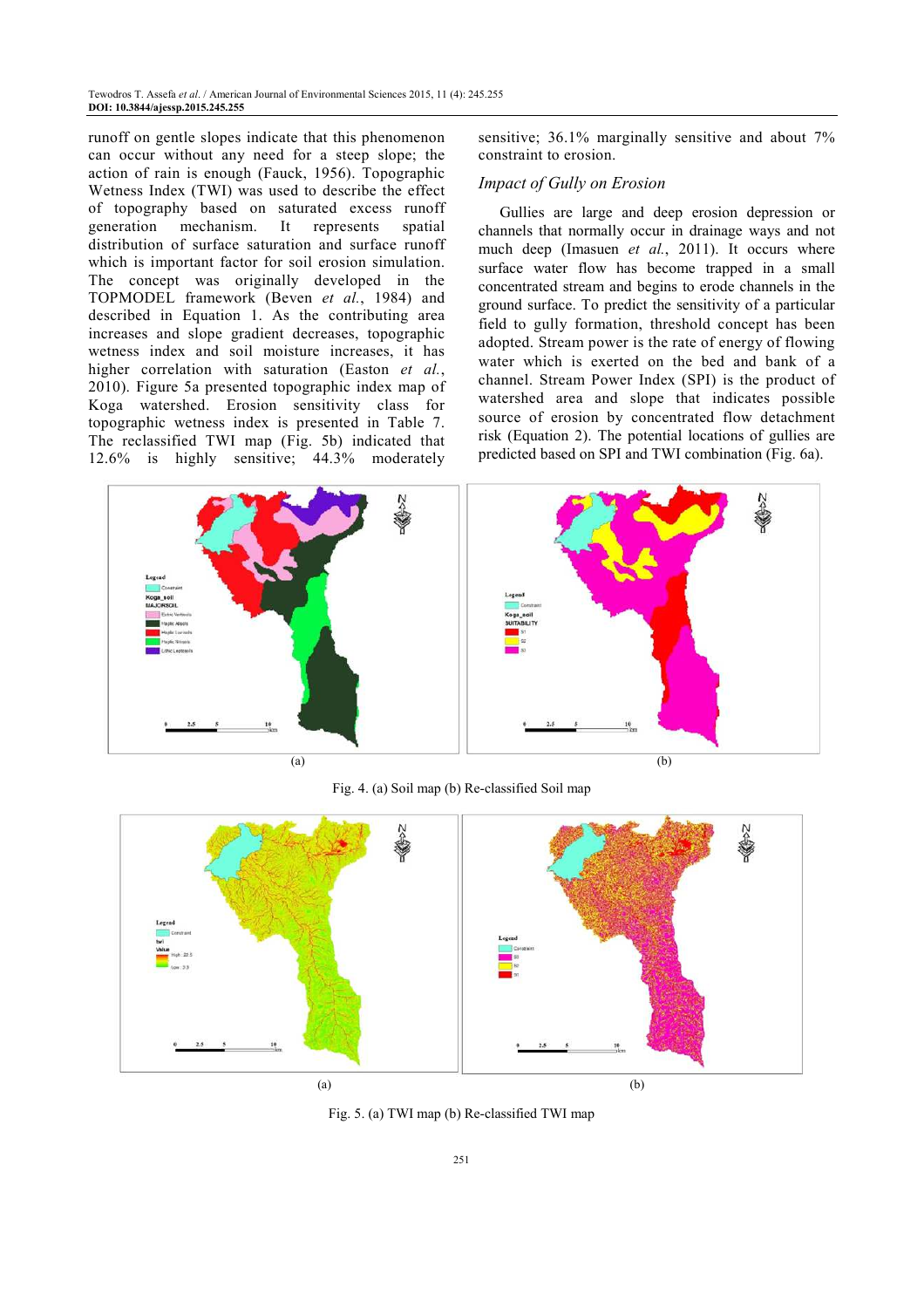runoff on gentle slopes indicate that this phenomenon can occur without any need for a steep slope; the action of rain is enough (Fauck, 1956). Topographic Wetness Index (TWI) was used to describe the effect of topography based on saturated excess runoff generation mechanism. It represents spatial distribution of surface saturation and surface runoff which is important factor for soil erosion simulation. The concept was originally developed in the TOPMODEL framework (Beven *et al.*, 1984) and described in Equation 1. As the contributing area increases and slope gradient decreases, topographic wetness index and soil moisture increases, it has higher correlation with saturation (Easton *et al.*, 2010). Figure 5a presented topographic index map of Koga watershed. Erosion sensitivity class for topographic wetness index is presented in Table 7. The reclassified TWI map (Fig. 5b) indicated that 12.6% is highly sensitive; 44.3% moderately sensitive; 36.1% marginally sensitive and about 7% constraint to erosion.

## *Impact of Gully on Erosion*

Gullies are large and deep erosion depression or channels that normally occur in drainage ways and not much deep (Imasuen *et al.*, 2011). It occurs where surface water flow has become trapped in a small concentrated stream and begins to erode channels in the ground surface. To predict the sensitivity of a particular field to gully formation, threshold concept has been adopted. Stream power is the rate of energy of flowing water which is exerted on the bed and bank of a channel. Stream Power Index (SPI) is the product of watershed area and slope that indicates possible source of erosion by concentrated flow detachment risk (Equation 2). The potential locations of gullies are predicted based on SPI and TWI combination (Fig. 6a).



Fig. 4. (a) Soil map (b) Re-classified Soil map



Fig. 5. (a) TWI map (b) Re-classified TWI map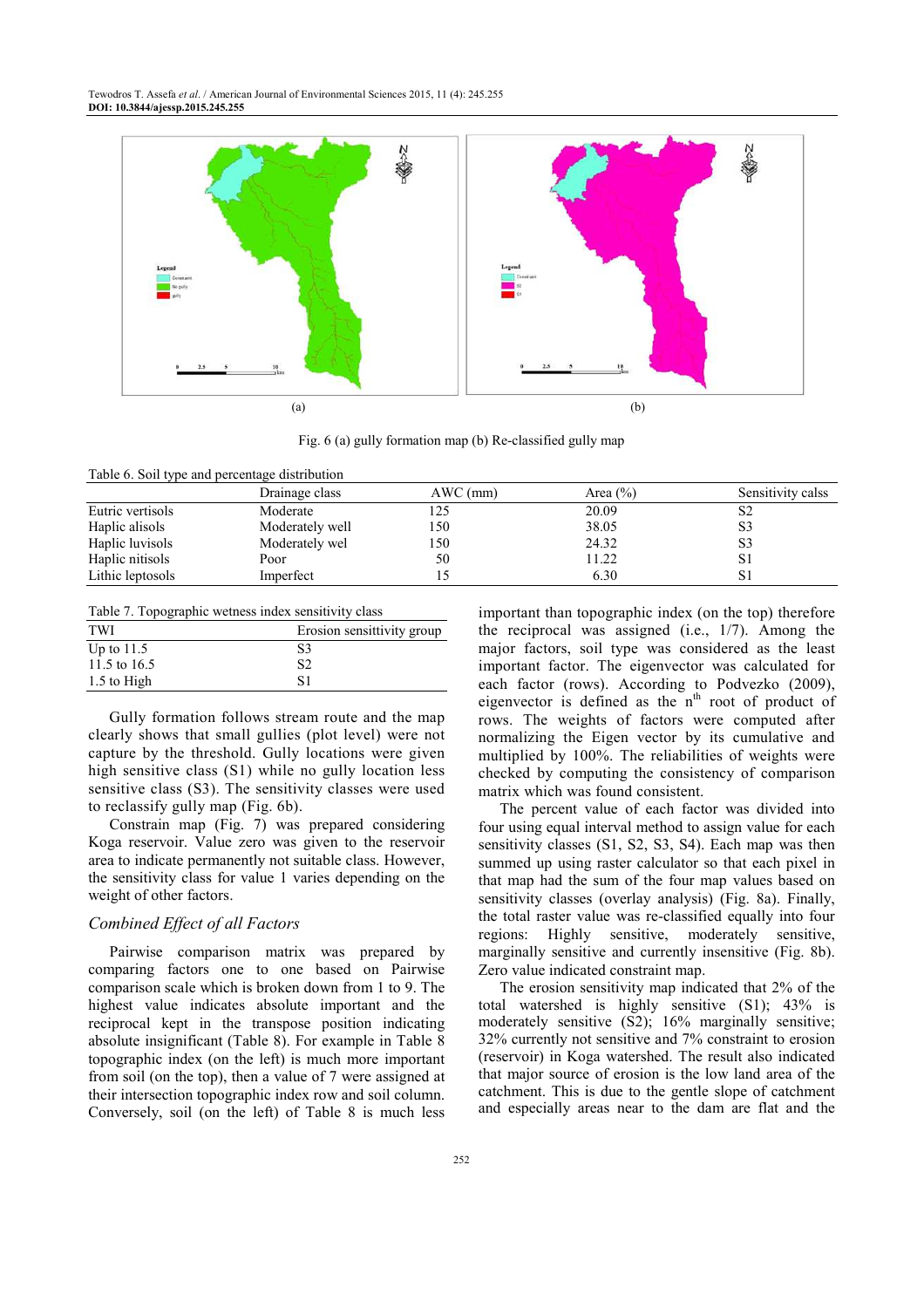

Fig. 6 (a) gully formation map (b) Re-classified gully map

Table 6. Soil type and percentage distribution

|                  | Drainage class  | $AWC$ (mm) | Area $(\% )$ | Sensitivity calss |
|------------------|-----------------|------------|--------------|-------------------|
| Eutric vertisols | Moderate        | 125        | 20.09        |                   |
| Haplic alisols   | Moderately well | 150        | 38.05        | S3                |
| Haplic luvisols  | Moderately wel  | 150        | 24.32        | S3                |
| Haplic nitisols  | Poor            | 50         | 11.22        | S1                |
| Lithic leptosols | Imperfect       |            | 6.30         |                   |

| Table 7. Topographic wetness index sensitivity class |  |  |
|------------------------------------------------------|--|--|
|------------------------------------------------------|--|--|

| TWI            | Erosion sensittivity group |  |  |
|----------------|----------------------------|--|--|
| Up to $11.5$   | S3                         |  |  |
| 11.5 to $16.5$ | S <sub>2</sub>             |  |  |
| 1.5 to High    | S1                         |  |  |

Gully formation follows stream route and the map clearly shows that small gullies (plot level) were not capture by the threshold. Gully locations were given high sensitive class (S1) while no gully location less sensitive class (S3). The sensitivity classes were used to reclassify gully map (Fig. 6b).

Constrain map (Fig. 7) was prepared considering Koga reservoir. Value zero was given to the reservoir area to indicate permanently not suitable class. However, the sensitivity class for value 1 varies depending on the weight of other factors.

## *Combined Effect of all Factors*

Pairwise comparison matrix was prepared by comparing factors one to one based on Pairwise comparison scale which is broken down from 1 to 9. The highest value indicates absolute important and the reciprocal kept in the transpose position indicating absolute insignificant (Table 8). For example in Table 8 topographic index (on the left) is much more important from soil (on the top), then a value of 7 were assigned at their intersection topographic index row and soil column. Conversely, soil (on the left) of Table 8 is much less

important than topographic index (on the top) therefore the reciprocal was assigned (i.e., 1/7). Among the major factors, soil type was considered as the least important factor. The eigenvector was calculated for each factor (rows). According to Podvezko (2009), eigenvector is defined as the  $n<sup>th</sup>$  root of product of rows. The weights of factors were computed after normalizing the Eigen vector by its cumulative and multiplied by 100%. The reliabilities of weights were checked by computing the consistency of comparison matrix which was found consistent.

The percent value of each factor was divided into four using equal interval method to assign value for each sensitivity classes (S1, S2, S3, S4). Each map was then summed up using raster calculator so that each pixel in that map had the sum of the four map values based on sensitivity classes (overlay analysis) (Fig. 8a). Finally, the total raster value was re-classified equally into four regions: Highly sensitive, moderately sensitive, marginally sensitive and currently insensitive (Fig. 8b). Zero value indicated constraint map.

The erosion sensitivity map indicated that 2% of the total watershed is highly sensitive (S1); 43% is moderately sensitive (S2); 16% marginally sensitive; 32% currently not sensitive and 7% constraint to erosion (reservoir) in Koga watershed. The result also indicated that major source of erosion is the low land area of the catchment. This is due to the gentle slope of catchment and especially areas near to the dam are flat and the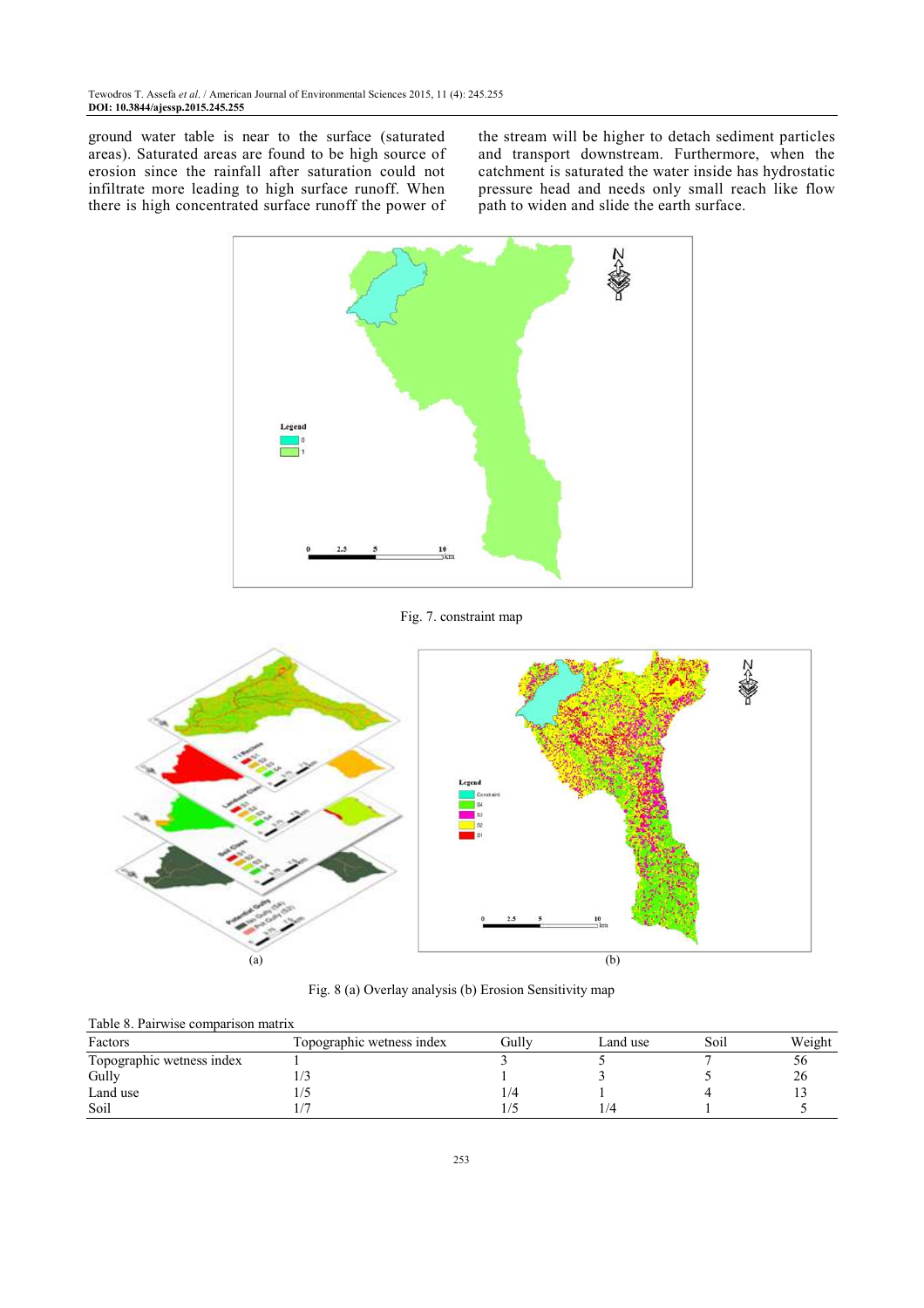ground water table is near to the surface (saturated areas). Saturated areas are found to be high source of erosion since the rainfall after saturation could not infiltrate more leading to high surface runoff. When there is high concentrated surface runoff the power of the stream will be higher to detach sediment particles and transport downstream. Furthermore, when the catchment is saturated the water inside has hydrostatic pressure head and needs only small reach like flow path to widen and slide the earth surface.



Fig. 7. constraint map



Fig. 8 (a) Overlay analysis (b) Erosion Sensitivity map

| Factors                   | Topographic wetness index | Gully | Land use | Soil | Weight |
|---------------------------|---------------------------|-------|----------|------|--------|
| Topographic wetness index |                           |       |          |      |        |
| Gully                     |                           |       |          |      | 26     |
| Land use                  |                           | . /4  |          |      |        |
| Soil                      |                           |       |          |      |        |

Table 8. Pairwise comparison matrix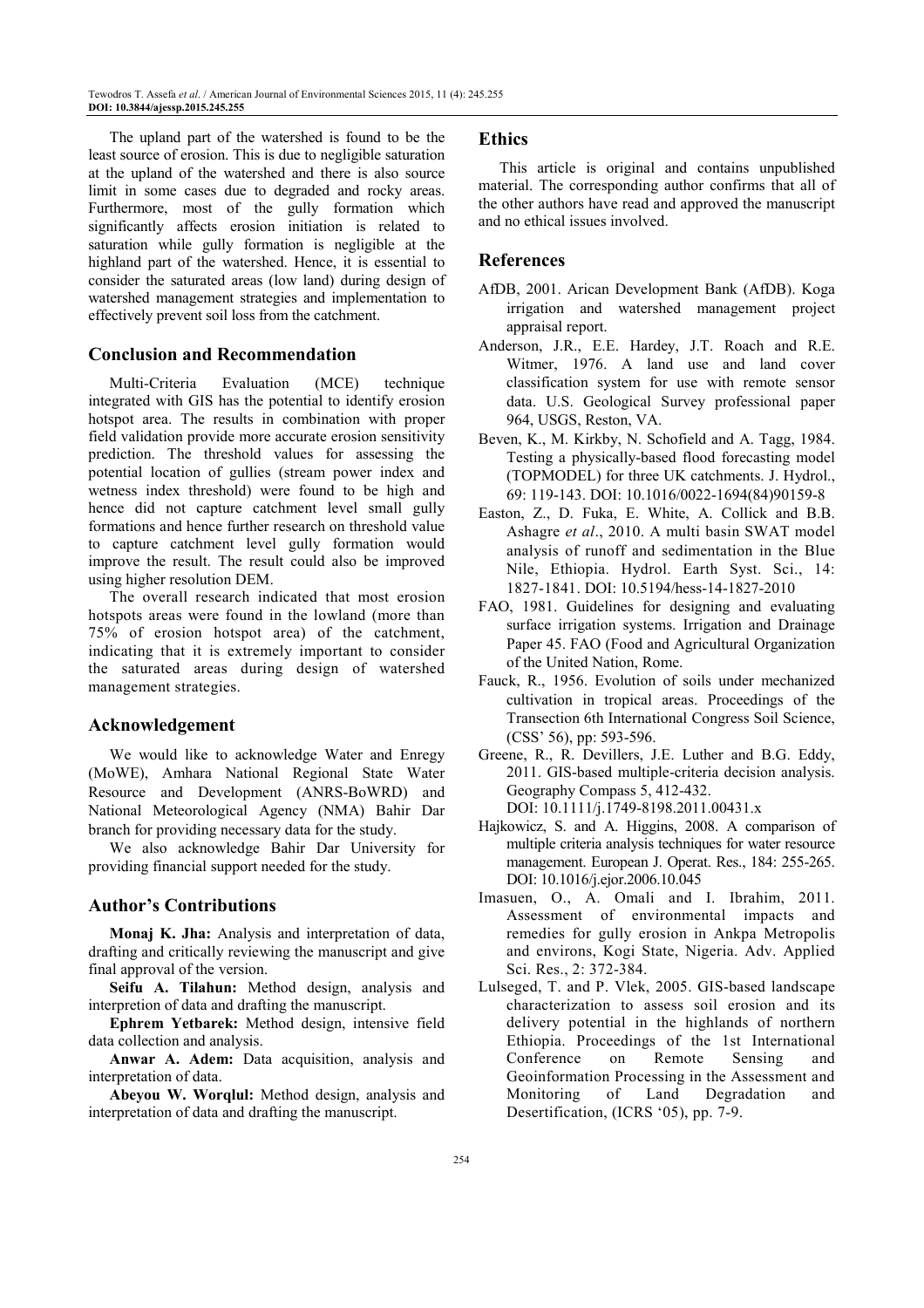The upland part of the watershed is found to be the least source of erosion. This is due to negligible saturation at the upland of the watershed and there is also source limit in some cases due to degraded and rocky areas. Furthermore, most of the gully formation which significantly affects erosion initiation is related to saturation while gully formation is negligible at the highland part of the watershed. Hence, it is essential to consider the saturated areas (low land) during design of watershed management strategies and implementation to effectively prevent soil loss from the catchment.

# **Conclusion and Recommendation**

Multi-Criteria Evaluation (MCE) technique integrated with GIS has the potential to identify erosion hotspot area. The results in combination with proper field validation provide more accurate erosion sensitivity prediction. The threshold values for assessing the potential location of gullies (stream power index and wetness index threshold) were found to be high and hence did not capture catchment level small gully formations and hence further research on threshold value to capture catchment level gully formation would improve the result. The result could also be improved using higher resolution DEM.

The overall research indicated that most erosion hotspots areas were found in the lowland (more than 75% of erosion hotspot area) of the catchment, indicating that it is extremely important to consider the saturated areas during design of watershed management strategies.

# **Acknowledgement**

We would like to acknowledge Water and Enregy (MoWE), Amhara National Regional State Water Resource and Development (ANRS-BoWRD) and National Meteorological Agency (NMA) Bahir Dar branch for providing necessary data for the study.

We also acknowledge Bahir Dar University for providing financial support needed for the study.

# **Author's Contributions**

**Monaj K. Jha:** Analysis and interpretation of data, drafting and critically reviewing the manuscript and give final approval of the version.

**Seifu A. Tilahun:** Method design, analysis and interpretion of data and drafting the manuscript.

**Ephrem Yetbarek:** Method design, intensive field data collection and analysis.

**Anwar A. Adem:** Data acquisition, analysis and interpretation of data.

**Abeyou W. Worqlul:** Method design, analysis and interpretation of data and drafting the manuscript.

## **Ethics**

This article is original and contains unpublished material. The corresponding author confirms that all of the other authors have read and approved the manuscript and no ethical issues involved.

# **References**

- AfDB, 2001. Arican Development Bank (AfDB). Koga irrigation and watershed management project appraisal report.
- Anderson, J.R., E.E. Hardey, J.T. Roach and R.E. Witmer, 1976. A land use and land cover classification system for use with remote sensor data. U.S. Geological Survey professional paper 964, USGS, Reston, VA.
- Beven, K., M. Kirkby, N. Schofield and A. Tagg, 1984. Testing a physically-based flood forecasting model (TOPMODEL) for three UK catchments. J. Hydrol., 69: 119-143. DOI: 10.1016/0022-1694(84)90159-8
- Easton, Z., D. Fuka, E. White, A. Collick and B.B. Ashagre *et al*., 2010. A multi basin SWAT model analysis of runoff and sedimentation in the Blue Nile, Ethiopia. Hydrol. Earth Syst. Sci., 14: 1827-1841. DOI: 10.5194/hess-14-1827-2010
- FAO, 1981. Guidelines for designing and evaluating surface irrigation systems. Irrigation and Drainage Paper 45. FAO (Food and Agricultural Organization of the United Nation, Rome.
- Fauck, R., 1956. Evolution of soils under mechanized cultivation in tropical areas. Proceedings of the Transection 6th International Congress Soil Science, (CSS' 56), pp: 593-596.
- Greene, R., R. Devillers, J.E. Luther and B.G. Eddy, 2011. GIS-based multiple-criteria decision analysis. Geography Compass 5, 412-432. DOI: 10.1111/j.1749-8198.2011.00431.x
- Hajkowicz, S. and A. Higgins, 2008. A comparison of multiple criteria analysis techniques for water resource management. European J. Operat. Res., 184: 255-265. DOI: 10.1016/j.ejor.2006.10.045
- Imasuen, O., A. Omali and I. Ibrahim, 2011. Assessment of environmental impacts and remedies for gully erosion in Ankpa Metropolis and environs, Kogi State, Nigeria. Adv. Applied Sci. Res., 2: 372-384.
- Lulseged, T. and P. Vlek, 2005. GIS-based landscape characterization to assess soil erosion and its delivery potential in the highlands of northern Ethiopia. Proceedings of the 1st International Conference on Remote Sensing and Geoinformation Processing in the Assessment and Monitoring of Land Degradation and Desertification, (ICRS '05), pp. 7-9.